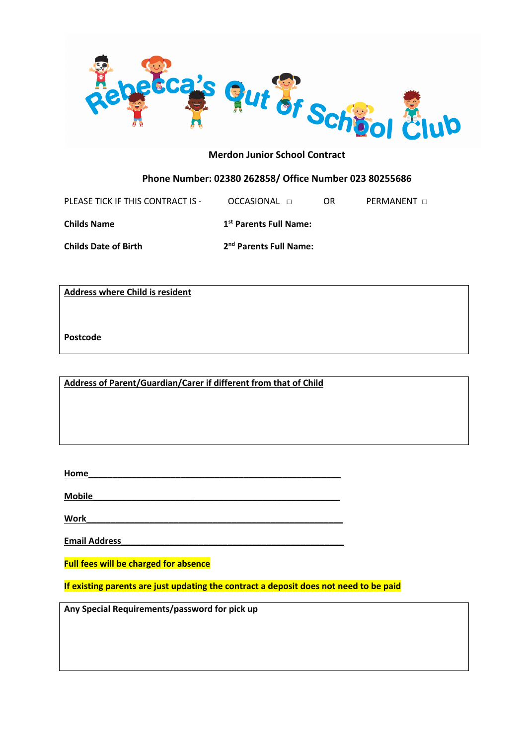

# **Phone Number: 02380 262858/ Office Number 023 80255686**

| PLEASE TICK IF THIS CONTRACT IS - | OCCASIONAL <b>n</b>                | OR | <b>PERMANENT</b> n |
|-----------------------------------|------------------------------------|----|--------------------|
| Childs Name                       | 1 <sup>st</sup> Parents Full Name: |    |                    |
| <b>Childs Date of Birth</b>       | 2 <sup>nd</sup> Parents Full Name: |    |                    |

**Address where Child is resident**

**Postcode**

**Address of Parent/Guardian/Carer if different from that of Child**

**Home\_\_\_\_\_\_\_\_\_\_\_\_\_\_\_\_\_\_\_\_\_\_\_\_\_\_\_\_\_\_\_\_\_\_\_\_\_\_\_\_\_\_\_\_\_\_\_\_\_\_\_\_**

**Mobile\_\_\_\_\_\_\_\_\_\_\_\_\_\_\_\_\_\_\_\_\_\_\_\_\_\_\_\_\_\_\_\_\_\_\_\_\_\_\_\_\_\_\_\_\_\_\_\_\_\_\_**

 $Work$ 

**Email Address\_\_\_\_\_\_\_\_\_\_\_\_\_\_\_\_\_\_\_\_\_\_\_\_\_\_\_\_\_\_\_\_\_\_\_\_\_\_\_\_\_\_\_\_\_\_**

**Full fees will be charged for absence**

**If existing parents are just updating the contract a deposit does not need to be paid**

**Any Special Requirements/password for pick up**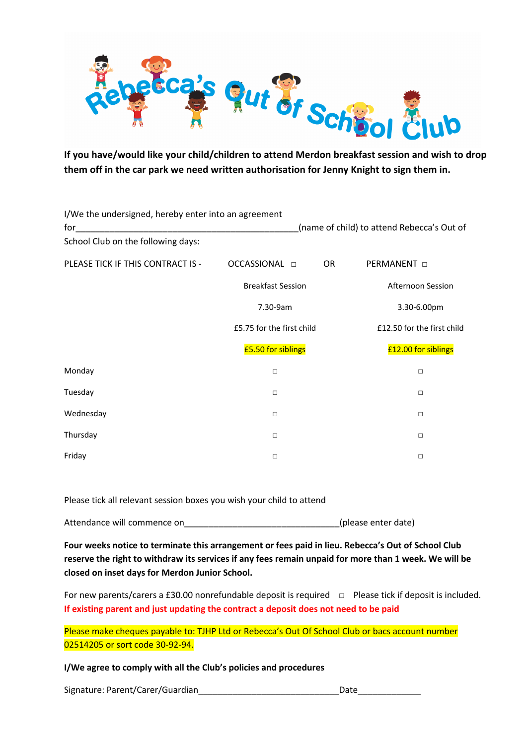

**If you have/would like your child/children to attend Merdon breakfast session and wish to drop them off in the car park we need written authorisation for Jenny Knight to sign them in.**

| I/We the undersigned, hereby enter into an agreement |                                            |                            |  |  |
|------------------------------------------------------|--------------------------------------------|----------------------------|--|--|
| for                                                  | (name of child) to attend Rebecca's Out of |                            |  |  |
| School Club on the following days:                   |                                            |                            |  |  |
| PLEASE TICK IF THIS CONTRACT IS -                    | OCCASSIONAL <b>D</b><br><b>OR</b>          | <b>PERMANENT</b>           |  |  |
|                                                      | <b>Breakfast Session</b>                   | Afternoon Session          |  |  |
|                                                      | 7.30-9am                                   | 3.30-6.00pm                |  |  |
|                                                      | £5.75 for the first child                  | £12.50 for the first child |  |  |
|                                                      | £5.50 for siblings                         | £12.00 for siblings        |  |  |
| Monday                                               | $\Box$                                     | □                          |  |  |
| Tuesday                                              | $\Box$                                     | $\Box$                     |  |  |
| Wednesday                                            | $\Box$                                     | $\Box$                     |  |  |
| Thursday                                             | $\Box$                                     | □                          |  |  |
| Friday                                               | $\Box$                                     | □                          |  |  |

Please tick all relevant session boxes you wish your child to attend

Attendance will commence on example a settlement of the settlement of the settlement of the settlement of the  $($ please enter date)

**Four weeks notice to terminate this arrangement or fees paid in lieu. Rebecca's Out of School Club reserve the right to withdraw its services if any fees remain unpaid for more than 1 week. We will be closed on inset days for Merdon Junior School.**

For new parents/carers a £30.00 nonrefundable deposit is required □ Please tick if deposit is included. **If existing parent and just updating the contract a deposit does not need to be paid**

Please make cheques payable to: TJHP Ltd or Rebecca's Out Of School Club or bacs account number 02514205 or sort code 30-92-94.

**I/We agree to comply with all the Club's policies and procedures**

Signature: Parent/Carer/Guardian\_\_\_\_\_\_\_\_\_\_\_\_\_\_\_\_\_\_\_\_\_\_\_\_\_\_\_\_\_Date\_\_\_\_\_\_\_\_\_\_\_\_\_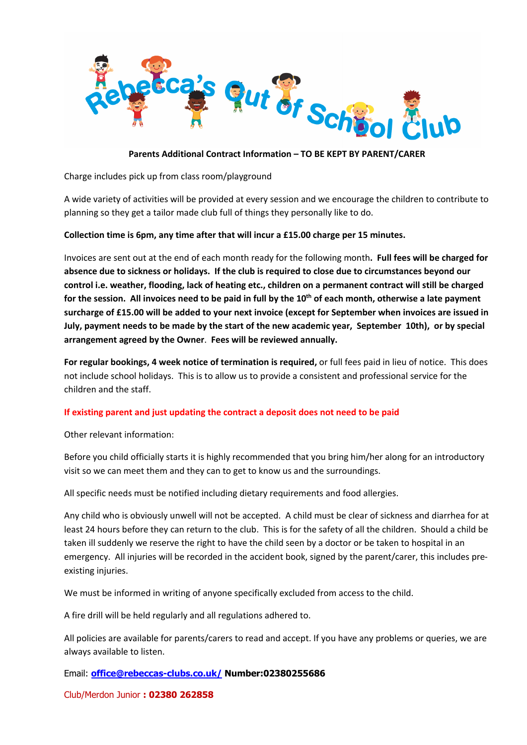

## **Parents Additional Contract Information – TO BE KEPT BY PARENT/CARER**

Charge includes pick up from class room/playground

A wide variety of activities will be provided at every session and we encourage the children to contribute to planning so they get a tailor made club full of things they personally like to do.

### **Collection time is 6pm, any time after that will incur a £15.00 charge per 15 minutes.**

Invoices are sent out at the end of each month ready for the following month**. Full fees will be charged for absence due to sickness or holidays. If the club is required to close due to circumstances beyond our control i.e. weather, flooding, lack of heating etc., children on a permanent contract will still be charged for the session. All invoices need to be paid in full by the 10th of each month, otherwise a late payment surcharge of £15.00 will be added to your next invoice (except for September when invoices are issued in July, payment needs to be made by the start of the new academic year, September 10th), or by special arrangement agreed by the Owner**. **Fees will be reviewed annually.**

**For regular bookings, 4 week notice of termination is required,** or full fees paid in lieu of notice. This does not include school holidays. This is to allow us to provide a consistent and professional service for the children and the staff.

#### **If existing parent and just updating the contract a deposit does not need to be paid**

Other relevant information:

Before you child officially starts it is highly recommended that you bring him/her along for an introductory visit so we can meet them and they can to get to know us and the surroundings.

All specific needs must be notified including dietary requirements and food allergies.

Any child who is obviously unwell will not be accepted. A child must be clear of sickness and diarrhea for at least 24 hours before they can return to the club. This is for the safety of all the children. Should a child be taken ill suddenly we reserve the right to have the child seen by a doctor or be taken to hospital in an emergency. All injuries will be recorded in the accident book, signed by the parent/carer, this includes preexisting injuries.

We must be informed in writing of anyone specifically excluded from access to the child.

A fire drill will be held regularly and all regulations adhered to.

All policies are available for parents/carers to read and accept. If you have any problems or queries, we are always available to listen.

Email: **office@rebeccas-clubs.co.uk/ Number:02380255686** 

Club/Merdon Junior **: 02380 262858**